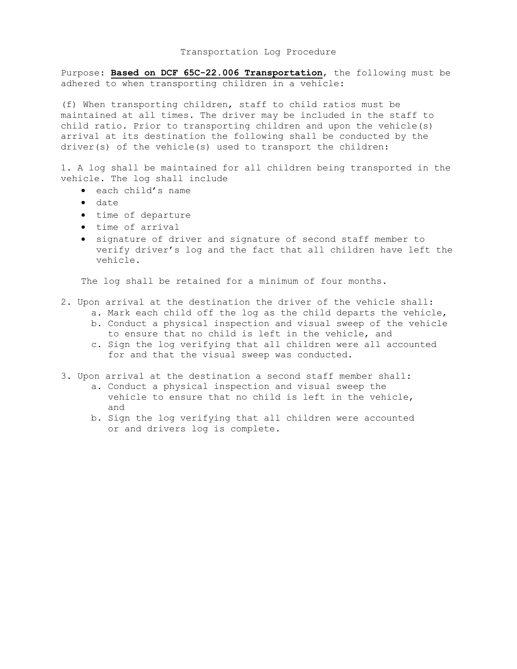## Transportation Log Procedure

Purpose: **Based on DCF 65C-22.006 Transportation**, the following must be adhered to when transporting children in a vehicle:

(f) When transporting children, staff to child ratios must be maintained at all times. The driver may be included in the staff to child ratio. Prior to transporting children and upon the vehicle(s) arrival at its destination the following shall be conducted by the driver(s) of the vehicle(s) used to transport the children:

1. A log shall be maintained for all children being transported in the vehicle. The log shall include

- each child's name
- $\bullet$  date
- time of departure
- time of arrival
- signature of driver and signature of second staff member to verify driver's log and the fact that all children have left the vehicle.

The log shall be retained for a minimum of four months.

- 2. Upon arrival at the destination the driver of the vehicle shall: a. Mark each child off the log as the child departs the vehicle,
	- b. Conduct a physical inspection and visual sweep of the vehicle to ensure that no child is left in the vehicle, and
	- c. Sign the log verifying that all children were all accounted for and that the visual sweep was conducted.
- 3. Upon arrival at the destination a second staff member shall:
	- a. Conduct a physical inspection and visual sweep the vehicle to ensure that no child is left in the vehicle, and
	- b. Sign the log verifying that all children were accounted or and drivers log is complete.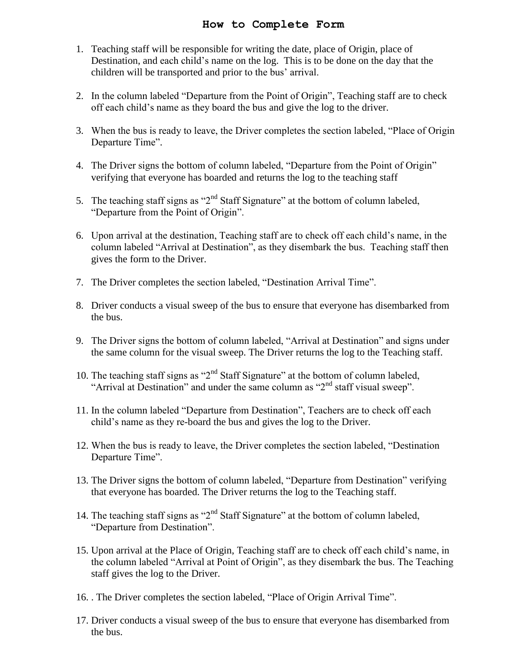## **How to Complete Form**

- 1. Teaching staff will be responsible for writing the date, place of Origin, place of Destination, and each child's name on the log. This is to be done on the day that the children will be transported and prior to the bus' arrival.
- 2. In the column labeled "Departure from the Point of Origin", Teaching staff are to check off each child's name as they board the bus and give the log to the driver.
- 3. When the bus is ready to leave, the Driver completes the section labeled, "Place of Origin Departure Time".
- 4. The Driver signs the bottom of column labeled, "Departure from the Point of Origin" verifying that everyone has boarded and returns the log to the teaching staff
- 5. The teaching staff signs as " $2<sup>nd</sup>$  Staff Signature" at the bottom of column labeled, "Departure from the Point of Origin".
- 6. Upon arrival at the destination, Teaching staff are to check off each child's name, in the column labeled "Arrival at Destination", as they disembark the bus. Teaching staff then gives the form to the Driver.
- 7. The Driver completes the section labeled, "Destination Arrival Time".
- 8. Driver conducts a visual sweep of the bus to ensure that everyone has disembarked from the bus.
- 9. The Driver signs the bottom of column labeled, "Arrival at Destination" and signs under the same column for the visual sweep. The Driver returns the log to the Teaching staff.
- 10. The teaching staff signs as " $2<sup>nd</sup>$  Staff Signature" at the bottom of column labeled, "Arrival at Destination" and under the same column as  $2<sup>nd</sup>$  staff visual sweep".
- 11. In the column labeled "Departure from Destination", Teachers are to check off each child's name as they re-board the bus and gives the log to the Driver.
- 12. When the bus is ready to leave, the Driver completes the section labeled, "Destination Departure Time".
- 13. The Driver signs the bottom of column labeled, "Departure from Destination" verifying that everyone has boarded. The Driver returns the log to the Teaching staff.
- 14. The teaching staff signs as " $2<sup>nd</sup>$  Staff Signature" at the bottom of column labeled, "Departure from Destination".
- 15. Upon arrival at the Place of Origin, Teaching staff are to check off each child's name, in the column labeled "Arrival at Point of Origin", as they disembark the bus. The Teaching staff gives the log to the Driver.
- 16. . The Driver completes the section labeled, "Place of Origin Arrival Time".
- 17. Driver conducts a visual sweep of the bus to ensure that everyone has disembarked from the bus.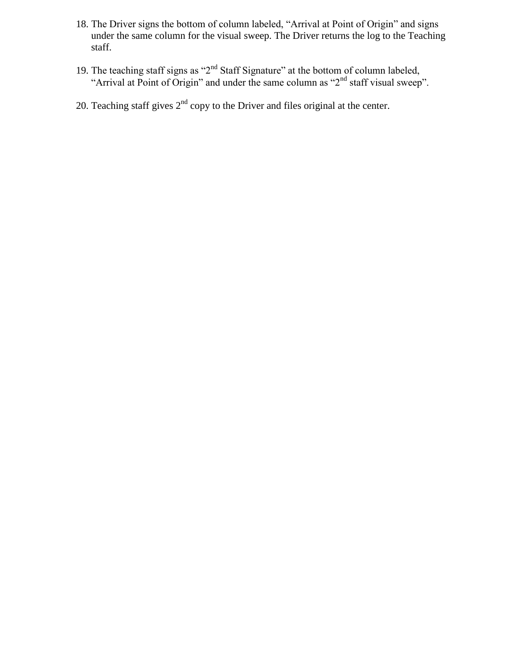- 18. The Driver signs the bottom of column labeled, "Arrival at Point of Origin" and signs under the same column for the visual sweep. The Driver returns the log to the Teaching staff.
- 19. The teaching staff signs as " $2<sup>nd</sup>$  Staff Signature" at the bottom of column labeled, "Arrival at Point of Origin" and under the same column as "2<sup>nd</sup> staff visual sweep".
- 20. Teaching staff gives  $2<sup>nd</sup>$  copy to the Driver and files original at the center.